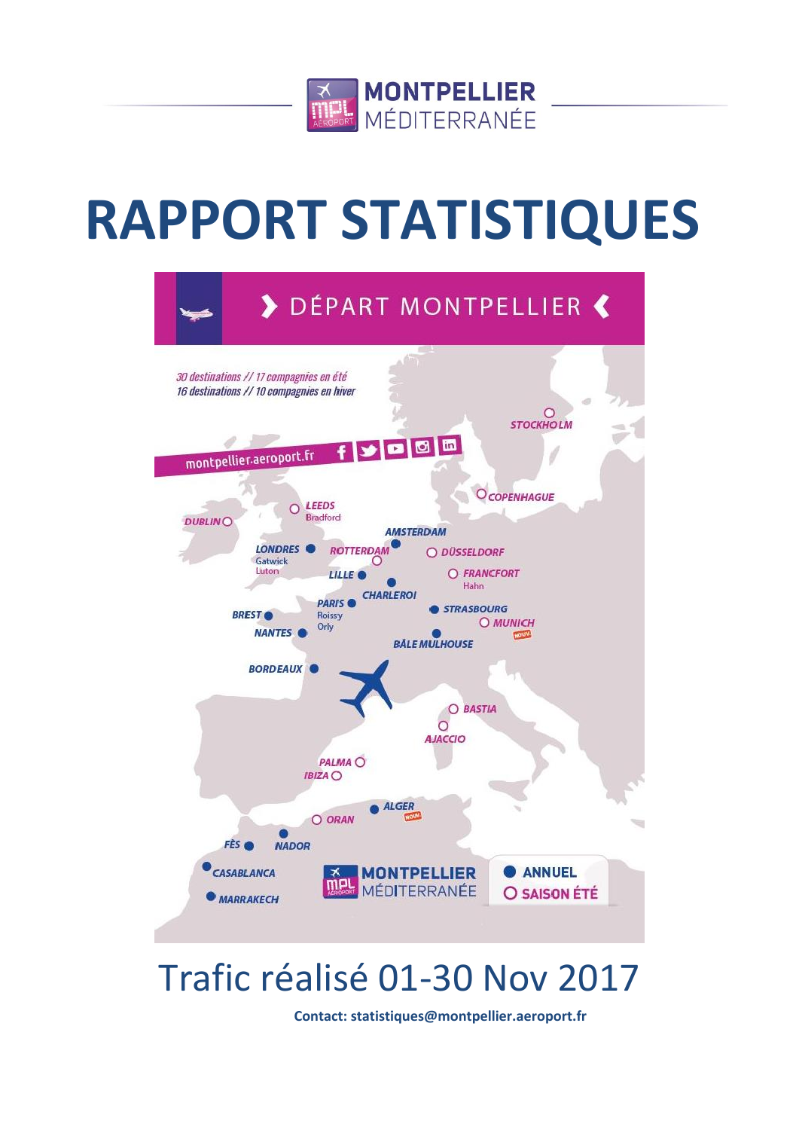

# **RAPPORT STATISTIQUES**



## Trafic réalisé 01-30 Nov 2017

**Contact: statistiques@montpellier.aeroport.fr**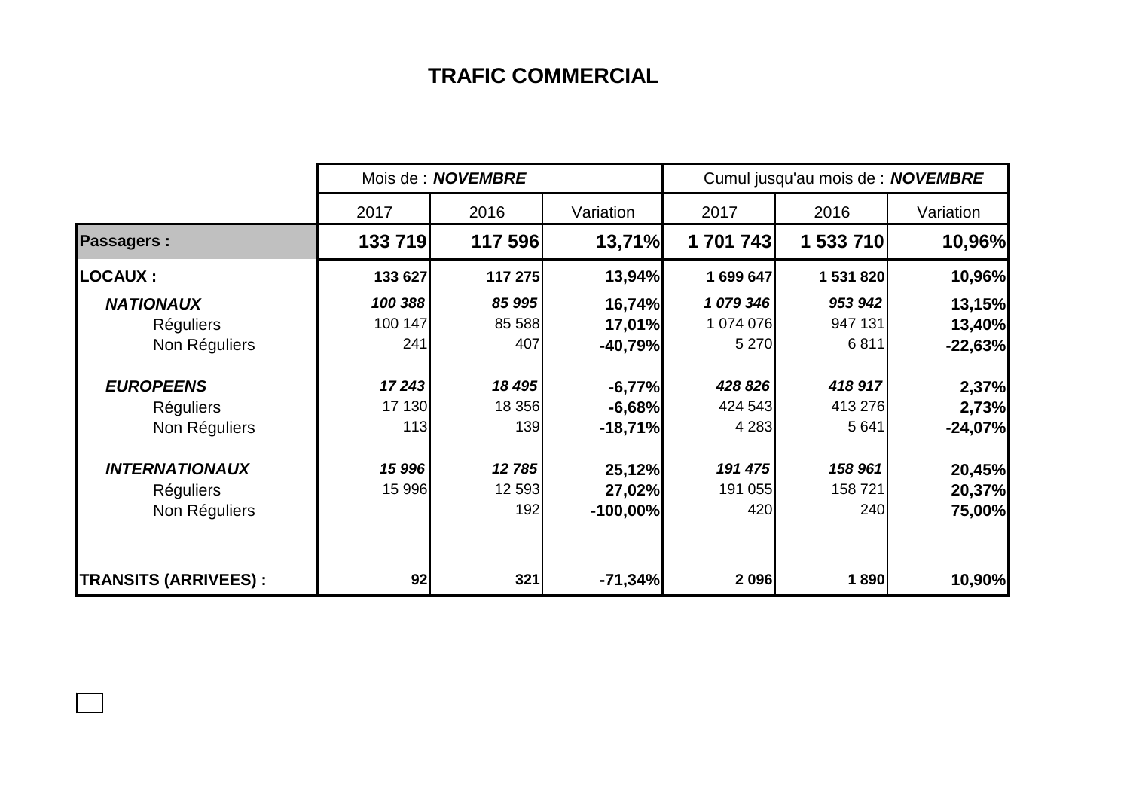## **TRAFIC COMMERCIAL**

|                              | Mois de : <b>NOVEMBRE</b> |         |            | Cumul jusqu'au mois de : NOVEMBRE |           |           |  |
|------------------------------|---------------------------|---------|------------|-----------------------------------|-----------|-----------|--|
|                              | 2017                      | 2016    | Variation  | 2017                              | 2016      | Variation |  |
| <b>Passagers:</b>            | 133719                    | 117 596 | 13,71%     | 1 701 743                         | 1 533 710 | 10,96%    |  |
| <b>LOCAUX :</b>              | 133 627                   | 117 275 | 13,94%     | 1 699 647                         | 1 531 820 | 10,96%    |  |
| <b>NATIONAUX</b>             | 100 388                   | 85 995  | 16,74%     | 1079346                           | 953 942   | 13,15%    |  |
| <b>Réguliers</b>             | 100 147                   | 85 588  | 17,01%     | 1 074 076                         | 947 131   | 13,40%    |  |
| Non Réguliers                | 241                       | 407     | $-40,79%$  | 5 2 7 0                           | 6811      | $-22,63%$ |  |
| <b>EUROPEENS</b>             | 17243                     | 18 495  | $-6,77%$   | 428 826                           | 418 917   | 2,37%     |  |
| <b>Réguliers</b>             | 17 130                    | 18 356  | $-6,68%$   | 424 543                           | 413 276   | 2,73%     |  |
| Non Réguliers                | 113                       | 139     | $-18,71%$  | 4 2 8 3                           | 5 6 4 1   | $-24,07%$ |  |
| <b>INTERNATIONAUX</b>        | 15 996                    | 12 785  | 25,12%     | 191 475                           | 158 961   | 20,45%    |  |
| <b>Réguliers</b>             | 15 996                    | 12 593  | 27,02%     | 191 055                           | 158 721   | 20,37%    |  |
| Non Réguliers                |                           | 192     | $-100,00%$ | 420                               | 240       | 75,00%    |  |
| <b>TRANSITS (ARRIVEES) :</b> | 92                        | 321     | $-71,34%$  | 2 0 9 6                           | 1890      | 10,90%    |  |

 $\Box$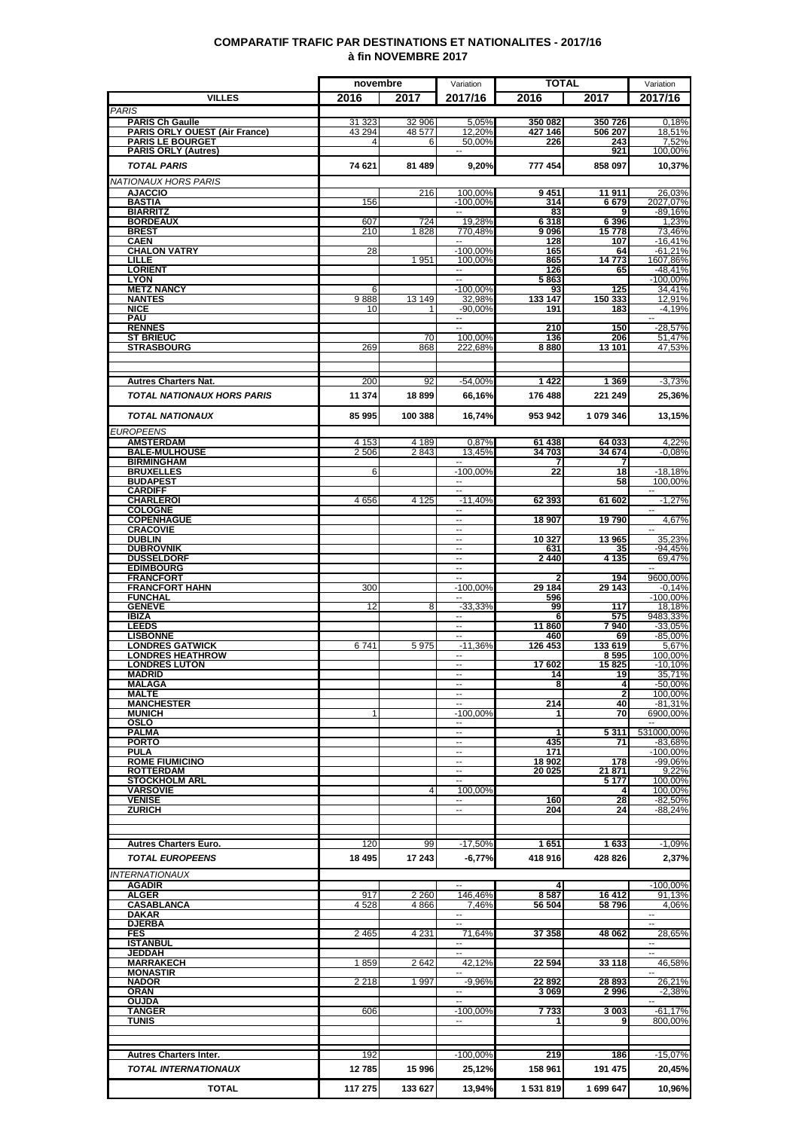### **COMPARATIF TRAFIC PAR DESTINATIONS ET NATIONALITES - 2017/16 à fin NOVEMBRE 2017**

|                                                                | novembre           |                  | Variation                                 | <b>TOTAL</b>       |                            | Variation                |
|----------------------------------------------------------------|--------------------|------------------|-------------------------------------------|--------------------|----------------------------|--------------------------|
| <b>VILLES</b>                                                  | 2016               | 2017             | 2017/16                                   | 2016               | 2017                       | 2017/16                  |
| <b>PARIS</b>                                                   |                    |                  |                                           |                    |                            |                          |
| <b>PARIS Ch Gaulle</b><br><b>PARIS ORLY OUEST (Air France)</b> | 31 323<br>43 294   | 32 906<br>48 577 | 5,05%<br>12,20%                           | 350 082<br>427 146 | 350726<br>506 207          | 0,18%<br>18,51%          |
| <b>PARIS LE BOURGET</b>                                        | 4                  | 6                | 50,00%                                    | 226                | 243                        | 7,52%                    |
| <b>PARIS ORLY (Autres)</b>                                     |                    |                  | $\overline{\phantom{a}}$                  |                    | 921                        | 100,00%                  |
| <b>TOTAL PARIS</b>                                             | 74 621             | 81 489           | 9,20%                                     | 777 454            | 858 097                    | 10,37%                   |
| NATIONAUX HORS PARIS                                           |                    |                  |                                           |                    |                            |                          |
| <b>AJACCIO</b>                                                 |                    | 216              | 100,00%                                   | 9451               | 11 911                     | 26,03%                   |
| <b>BASTIA</b>                                                  | 156                |                  | $-100,00%$                                | 314                | 6679                       | 2027,07%                 |
| <b>BIARRITZ</b><br><b>BORDEAUX</b>                             | 607                | 724              | 19,28%                                    | 83<br>6318         | 6 3 9 6                    | $-89,16%$<br>1.23%       |
| <b>BREST</b>                                                   | 210                | 1828             | 770,48%                                   | 9 096              | 15778                      | 73,46%                   |
| <b>CAEN</b>                                                    |                    |                  | н.                                        | 128                | 107                        | $-16,41%$                |
| <b>CHALON VATRY</b><br>LILLE                                   | 28                 | 1951             | $-100,00%$<br>100,00%                     | 165<br>865         | 64<br>14773                | $-61,21%$<br>1607,86%    |
| <b>LORIENT</b>                                                 |                    |                  | $\sim$                                    | 126                | 65                         | $-48.41%$                |
| <b>LYON</b>                                                    |                    |                  | $\sim$                                    | 5863               |                            | $-100,00\%$              |
| <b>METZ NANCY</b><br><b>NANTES</b>                             | 6<br>9888          | 13 149           | $-100,00%$<br>32,98%                      | 93<br>133 147      | 125<br>150 333             | 34,41%<br>12,91%         |
| <b>NICE</b>                                                    | 10                 |                  | $-90,00%$                                 | 191                | 183                        | $-4,19%$                 |
| PAU                                                            |                    |                  | $\sim$                                    |                    |                            | $\sim$                   |
| <b>RENNES</b>                                                  |                    |                  |                                           | 210                | 150                        | $-28,57%$<br>51.47%      |
| <b>ST BRIEUC</b><br><b>STRASBOURG</b>                          | 269                | 70<br>868        | 100,00%<br>222,68%                        | 136<br>8880        | 206<br>13 101              | 47,53%                   |
|                                                                |                    |                  |                                           |                    |                            |                          |
|                                                                |                    |                  |                                           |                    |                            |                          |
| <b>Autres Charters Nat.</b>                                    | 200                | 92               | -54,00%                                   | 1422               | 1 3 6 9                    | $-3,73%$                 |
| <b>TOTAL NATIONAUX HORS PARIS</b>                              | 11 374             | 18899            | 66,16%                                    | 176 488            | 221 249                    | 25,36%                   |
|                                                                |                    |                  |                                           |                    |                            |                          |
| <b>TOTAL NATIONAUX</b>                                         | 85 995             | 100 388          | 16,74%                                    | 953 942            | 1 079 346                  | 13,15%                   |
| <b>EUROPEENS</b>                                               |                    |                  |                                           |                    |                            |                          |
| <b>AMSTERDAM</b><br><b>BALE-MULHOUSE</b>                       | 4 1 5 3<br>2 5 0 6 | 4 1 8 9<br>2843  | 0,87%<br>13,45%                           | 61 438<br>34 703   | 64 033<br>34 674           | 4,22%<br>$-0.08%$        |
| <b>BIRMINGHAM</b>                                              |                    |                  |                                           |                    |                            |                          |
| <b>BRUXELLES</b>                                               | 6                  |                  | $-100,00%$                                | 22                 | $\overline{18}$            | $-18,18%$                |
| <b>BUDAPEST</b>                                                |                    |                  | $\sim$ $\sim$<br>$\overline{\phantom{a}}$ |                    | 58                         | 100,00%<br>$\sim$        |
| <b>CARDIFF</b><br><b>CHARLEROI</b>                             | 4656               | 4 1 2 5          | $-11,40%$                                 | 62 393             | 61 602                     | $-1,27%$                 |
| <b>COLOGNE</b>                                                 |                    |                  |                                           |                    |                            |                          |
| <b>COPENHAGUE</b>                                              |                    |                  | $\overline{\phantom{a}}$<br>$\sim$        | 18 907             | 19790                      | 4,67%                    |
| <b>CRACOVIE</b><br><b>DUBLIN</b>                               |                    |                  | $\overline{\phantom{a}}$                  | 10 327             | 13 965                     | 35,23%                   |
| <b>DUBROVNIK</b>                                               |                    |                  | $\mathbf{L}$                              | 631                | 35                         | -94,45%                  |
| <b>DUSSELDORF</b>                                              |                    |                  |                                           | 2440               | 4 1 3 5                    | 69,47%                   |
| <b>EDIMBOURG</b><br><b>FRANCFORT</b>                           |                    |                  | $\overline{\phantom{a}}$<br>$\sim$        |                    | 194                        | $\sim$<br>9600,00%       |
| <b>FRANCFORT HAHN</b>                                          | 300                |                  | $-100,00%$                                | 29 184             | 29 143                     | $-0.14%$                 |
| <b>FUNCHAL</b>                                                 |                    |                  |                                           | 596                |                            | $-100,00%$               |
| <b>GENEVE</b><br><b>IBIZA</b>                                  | 12                 | 8                | $-33,33%$<br>$\overline{\phantom{a}}$     | 99<br>6            | 117<br>575                 | 18,18%<br>9483,33%       |
| <b>LEEDS</b>                                                   |                    |                  | Ξ.                                        | 11 860             | 7940                       | -33,05%                  |
| <b>LISBONNE</b>                                                |                    |                  | $\overline{\phantom{a}}$                  | 460                | 69                         | $-85,00%$                |
| <b>LONDRES GATWICK</b>                                         | 6741               | 5975             | $-11,36%$                                 | 126 453            | 133 619                    | 5.67%                    |
| <b>LONDRES HEATHROW</b><br><b>LONDRES LUTON</b>                |                    |                  | $\overline{\phantom{a}}$                  | 17 602             | 8 5 9 5<br>15825           | 100,00%<br>$-10,10%$     |
| <b>MADRID</b>                                                  |                    |                  | $\overline{\phantom{a}}$                  | 14                 | 19                         | 35,71%                   |
| MALAGA                                                         |                    |                  | --<br>$\sim$                              | 8                  | $\overline{4}$             | $-50,00%$                |
| <b>MALTE</b><br><b>MANCHESTER</b>                              |                    |                  |                                           | 214                | $\overline{2}$<br>40       | 100.00%<br>-81,31%       |
| <b>MUNICH</b>                                                  | 1                  |                  | $-100,00%$                                | 1                  | 70                         | 6900,00%                 |
| OSLO                                                           |                    |                  |                                           |                    |                            |                          |
| PALMA<br><b>PORTO</b>                                          |                    |                  | $\sim$<br>$\mathbf{L}$                    | 435                | 5311<br>71                 | 531000,00%<br>$-83,68%$  |
| PULA                                                           |                    |                  | $\sim$                                    | 171                |                            | -100,00%                 |
| <b>ROME FIUMICINO</b>                                          |                    |                  | $\sim$                                    | 18 902             | 178                        | $-99,06%$                |
| <b>ROTTERDAM</b><br><b>STOCKHOLM ARL</b>                       |                    |                  | ۰.<br>н.                                  | 20 025             | <u> 21 871 </u><br>5 1 7 7 | 9.22%<br>100,00%         |
| <b>VARSOVIE</b>                                                |                    | 4                | 100,00%                                   |                    | 4                          | 100.00%                  |
| <b>VENISE</b>                                                  |                    |                  |                                           | 160                | 28                         | -82,50%                  |
| <b>ZURICH</b>                                                  |                    |                  | $\overline{\phantom{a}}$                  | 204                | 24                         | $-88.24%$                |
|                                                                |                    |                  |                                           |                    |                            |                          |
| <b>Autres Charters Euro.</b>                                   | 120                | 99               | $-17,50%$                                 | 1 651              | 1633                       | $-1,09%$                 |
| <b>TOTAL EUROPEENS</b>                                         | 18 4 95            | 17 243           | -6,77%                                    | 418 916            | 428 826                    | 2,37%                    |
| <b>INTERNATIONAUX</b>                                          |                    |                  |                                           |                    |                            |                          |
| AGADIR                                                         |                    |                  | $\sim$                                    | 4                  |                            | $-100,00%$               |
| <b>ALGER</b>                                                   | 917                | 2 2 6 0          | 146,46%                                   | 8587               | 16 412                     | 91,13%                   |
| CASABLANCA                                                     | 4528               | 4866             | 7,46%                                     | 56 504             | 58 796                     | 4,06%                    |
| <b>DAKAR</b><br><b>DJERBA</b>                                  |                    |                  | $\sim$                                    |                    |                            | $\overline{\phantom{a}}$ |
| FES                                                            | 2 4 6 5            | 4 2 3 1          | 71,64%                                    | 37 358             | 48 062                     | 28,65%                   |
| <b>ISTANBUL</b>                                                |                    |                  |                                           |                    |                            |                          |
| JEDDAH<br><b>MARRAKECH</b>                                     | 1859               | 2 642            | 42,12%                                    | 22 594             | 33 118                     | 46,58%                   |
| <b>MONASTIR</b>                                                |                    |                  |                                           |                    |                            |                          |
| <b>NADOR</b>                                                   | 2 2 1 8            | 1 9 9 7          | $-9,96%$                                  | 22892              | 28 893                     | 26,21%                   |
| <b>ORAN</b><br><b>OUJDA</b>                                    |                    |                  |                                           | 3069               | 2996                       | $-2,38%$                 |
| <b>TANGER</b>                                                  | 606                |                  | $-100,00%$                                | 7733               | 3 003                      | $-61,17%$                |
| TUNIS                                                          |                    |                  | $\sim$                                    |                    | 9                          | 800,00%                  |
|                                                                |                    |                  |                                           |                    |                            |                          |
|                                                                |                    |                  | $-100,00\%$                               |                    |                            | $-15,07%$                |
| <b>Autres Charters Inter.</b>                                  | 192                |                  |                                           | 219                | 186                        |                          |
| <b>TOTAL INTERNATIONAUX</b>                                    | 12785              | 15996            | 25,12%                                    | 158 961            | 191 475                    | 20,45%                   |
| <b>TOTAL</b>                                                   | 117 275            | 133 627          | 13,94%                                    | 1 531 819          | 1 699 647                  | 10,96%                   |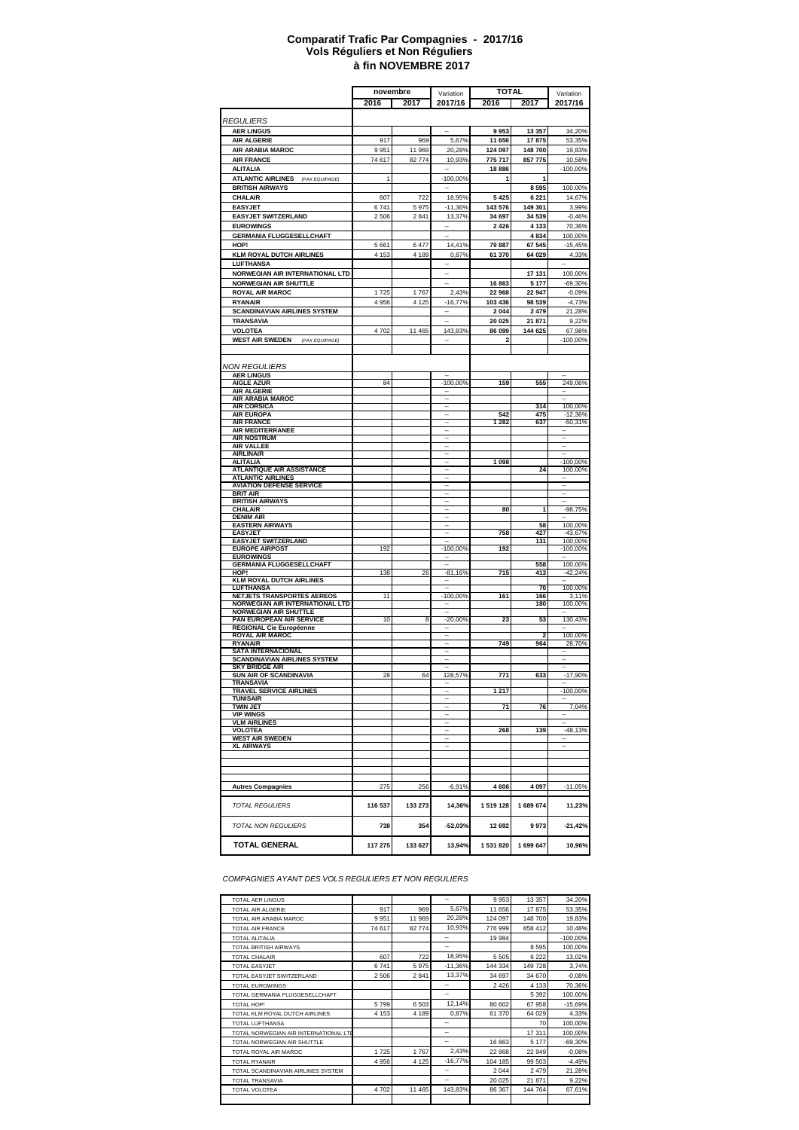#### **à fin NOVEMBRE 2017 Comparatif Trafic Par Compagnies - 2017/16 Vols Réguliers et Non Réguliers**

|                                                                 | novembre |         | Variation                  |                    | <b>TOTAL</b>      | Variation            |
|-----------------------------------------------------------------|----------|---------|----------------------------|--------------------|-------------------|----------------------|
|                                                                 | 2016     | 2017    | 2017/16                    | 2016               | 2017              | 2017/16              |
|                                                                 |          |         |                            |                    |                   |                      |
| <i>REGULIERS</i>                                                |          |         |                            |                    |                   |                      |
| <b>AER LINGUS</b>                                               |          |         |                            | 9953               | 13 357            | 34,20%               |
| <b>AIR ALGERIE</b>                                              | 917      | 969     | 5,67%                      | 11 656             | 17875             | 53,35%               |
| <b>AIR ARABIA MAROC</b>                                         | 9951     | 11 969  | 20,28%                     | 124 097            | 148700            | 19,83%               |
| <b>AIR FRANCE</b>                                               | 74 617   | 82774   | 10,93%                     | 775 717<br>18886   | 857775            | 10,58%               |
| ALITALIA<br><b>ATLANTIC AIRLINES</b><br>(PAX EQUIPAGE)          | 1        |         | $-100,00%$                 | 1                  | 1                 | $-100,00%$           |
| <b>BRITISH AIRWAYS</b>                                          |          |         |                            |                    | 8595              | 100,00%              |
| <b>CHALAIR</b>                                                  | 607      | 722     | 18,95%                     | 5 4 2 5            | 6 2 2 1           | 14,67%               |
| <b>EASYJET</b>                                                  | 6741     | 5975    | $-11,36%$                  | 143 576            | 149 301           | 3,99%                |
| <b>EASYJET SWITZERLAND</b>                                      | 2 5 0 6  | 2841    | 13,37%                     | 34 697             | 34 539            | $-0.46%$             |
| <b>EUROWINGS</b>                                                |          |         |                            | 2 4 2 6            | 4 1 3 3           | 70,36%               |
| <b>GERMANIA FLUGGESELLCHAFT</b>                                 |          |         |                            |                    | 4834              | 100,00%              |
| HOP!                                                            | 5 6 6 1  | 6477    | 14,41%                     | 79 887             | 67 545            | $-15,45%$            |
| <b>KLM ROYAL DUTCH AIRLINES</b>                                 | 4 1 5 3  | 4 189   | 0,87%                      | 61 370             | 64 029            | 4,33%                |
| LUFTHANSA                                                       |          |         |                            |                    |                   |                      |
| NORWEGIAN AIR INTERNATIONAL LTD                                 |          |         | -                          |                    | 17 131            | 100,00%              |
| <b>NORWEGIAN AIR SHUTTLE</b>                                    |          |         |                            | 16863              | 5 1 7 7           | $-69,30%$            |
| <b>ROYAL AIR MAROC</b>                                          | 1 7 2 5  | 1767    | 2,43%                      | 22 968             | 22 947            | $-0,09%$             |
| <b>RYANAIR</b>                                                  | 4 9 5 6  | 4 1 2 5 | $-16,77%$                  | 103 436<br>2 0 4 4 | 98 539            | $-4,73%$             |
| <b>SCANDINAVIAN AIRLINES SYSTEM</b><br><b>TRANSAVIA</b>         |          |         |                            | 20 025             | 2 4 7 9<br>21 871 | 21,28%<br>9,22%      |
| VOLOTEA                                                         | 4702     | 11 4 65 | 143,83%                    | 86 099             | 144 625           | 67,98%               |
| <b>WEST AIR SWEDEN</b><br>(PAX EQUIPAGE)                        |          |         |                            | 2                  |                   | -100,00%             |
|                                                                 |          |         |                            |                    |                   |                      |
|                                                                 |          |         |                            |                    |                   |                      |
| NON REGULIERS                                                   |          |         |                            |                    |                   |                      |
| <b>AER LINGUS</b>                                               |          |         |                            |                    |                   |                      |
| <b>AIGLE AZUR</b><br><b>AIR ALGERIE</b>                         | 84       |         | $-100,00%$                 | 159                | 555               | 249,06%              |
| AIR ARABIA MAROC                                                |          |         | $\overline{\phantom{a}}$   |                    |                   | ٠.                   |
| <b>AIR CORSICA</b>                                              |          |         | $\overline{\phantom{a}}$   |                    | 314               | 100,00%              |
| <b>AIR EUROPA</b>                                               |          |         |                            | 542                | 475               | $-12,36%$            |
| <b>AIR FRANCE</b><br>AIR MEDITERRANEE                           |          |         | $\ddot{\phantom{0}}$<br>-- | 1 2 8 2            | 637               | $-50,31%$<br>۰.      |
| <b>AIR NOSTRUM</b>                                              |          |         |                            |                    |                   | --                   |
| <b>AIR VALLEE</b>                                               |          |         |                            |                    |                   |                      |
| <b>AIRLINAIR</b><br><b>ALITALIA</b>                             |          |         |                            | 1 0 9 8            |                   | $-100,00%$           |
| <b>ATLANTIQUE AIR ASSISTANCE</b>                                |          |         |                            |                    | 24                | 100,00%              |
| <b>ATLANTIC AIRLINES</b>                                        |          |         |                            |                    |                   |                      |
| <b>AVIATION DEFENSE SERVICE</b>                                 |          |         |                            |                    |                   |                      |
| <b>BRIT AIR</b><br><b>BRITISH AIRWAYS</b>                       |          |         |                            |                    |                   |                      |
| <b>CHALAIR</b>                                                  |          |         |                            | 80                 | 1                 | $-98,75%$            |
| <b>DENIM AIR</b>                                                |          |         |                            |                    |                   |                      |
| <b>EASTERN AIRWAYS</b>                                          |          |         |                            |                    | 58                | 100,00%              |
| <b>EASYJET</b><br><b>EASYJET SWITZERLAND</b>                    |          |         |                            | 758                | 427<br>131        | $-43,67%$<br>100,00% |
| <b>EUROPE AIRPOST</b>                                           | 192      |         | -100,00%                   | 192                |                   | $-100,00%$           |
| <b>EUROWINGS</b>                                                |          |         |                            |                    |                   |                      |
| <b>GERMANIA FLUGGESELLCHAFT</b><br>HOP!                         |          | 26      |                            | 715                | 558               | 100,00%<br>$-42,24%$ |
| <b>KLM ROYAL DUTCH AIRLINES</b>                                 | 138      |         | $-81,16%$                  |                    | 413               |                      |
| <b>LUFTHANSA</b>                                                |          |         |                            |                    | 70                | 100,00%              |
| NETJETS TRANSPORTES AEREOS                                      | 11       |         | $-100,00%$                 | 161                | 166               | 3,11%                |
| NORWEGIAN AIR INTERNATIONAL LTD<br><b>NORWEGIAN AIR SHUTTLE</b> |          |         | $\ddot{\phantom{0}}$       |                    | 180               | 100,00%              |
| PAN EUROPEAN AIR SERVICE                                        | 10       | 8       | $-20,00%$                  | 23                 | 53                | 130,43%              |
| REGIONAL Cie Européenne                                         |          |         |                            |                    |                   |                      |
| <b>ROYAL AIR MAROC</b>                                          |          |         |                            | 749                | 2<br>964          | 100,00%<br>28.70%    |
| <b>RYANAIR</b><br><b>SATA INTERNACIONAL</b>                     |          |         |                            |                    |                   |                      |
| <b>SCANDINAVIAN AIRLINES SYSTEM</b>                             |          |         |                            |                    |                   |                      |
| <b>SKY BRIDGE AIR</b>                                           |          |         |                            |                    |                   |                      |
| <b>SUN AIR OF SCANDINAVIA</b><br>TRANSAVIA                      | 28       | 64      | 128,57%                    | 771                | 633               | $-17,90%$            |
| TRAVEL SERVICE AIRLINES                                         |          |         |                            | 1 217              |                   | -100,00%             |
| TUNISAIR                                                        |          |         |                            |                    |                   |                      |
| <b>TWIN JET</b><br><b>VIP WINGS</b>                             |          |         |                            | 71                 | 76                | 7,04%                |
| <b>VLM AIRLINES</b>                                             |          |         |                            |                    |                   |                      |
| <b>VOLOTEA</b>                                                  |          |         |                            | 268                | 139               | $-48,13%$            |
| <b>WEST AIR SWEDEN</b>                                          |          |         |                            |                    |                   |                      |
| <b>XL AIRWAYS</b>                                               |          |         |                            |                    |                   |                      |
|                                                                 |          |         |                            |                    |                   |                      |
|                                                                 |          |         |                            |                    |                   |                      |
|                                                                 |          |         |                            |                    |                   |                      |
| <b>Autres Compagnies</b>                                        | 275      | 256     | $-6,91%$                   | 4 60 6             | 4 0 9 7           | $-11,05%$            |
|                                                                 |          |         |                            |                    |                   |                      |
| <b>TOTAL REGULIERS</b>                                          | 116 537  | 133 273 | 14,36%                     | 1519128            | 1 689 674         | 11,23%               |
|                                                                 |          |         |                            |                    |                   |                      |
| <b>TOTAL NON REGULIERS</b>                                      | 738      | 354     | -52,03%                    | 12 692             | 9973              | -21,42%              |
|                                                                 |          |         | 13,94%                     |                    |                   |                      |
| <b>TOTAL GENERAL</b>                                            | 117 275  | 133 627 |                            | 1 531 820          | 1 699 647         | 10,96%               |

*COMPAGNIES AYANT DES VOLS REGULIERS ET NON REGULIERS*

| <b>TOTAL AER LINGUS</b>               |         |         | -         | 9953    | 13 3 5 7 | 34,20%     |
|---------------------------------------|---------|---------|-----------|---------|----------|------------|
| <b>TOTAL AIR ALGERIE</b>              | 917     | 969     | 5,67%     | 11 656  | 17875    | 53,35%     |
| TOTAL AIR ARABIA MAROC                | 9951    | 11969   | 20,28%    | 124 097 | 148700   | 19,83%     |
| <b>TOTAL AIR FRANCE</b>               | 74 617  | 82774   | 10.93%    | 776 999 | 858 412  | 10,48%     |
| <b>TOTAL ALITALIA</b>                 |         |         | --        | 19 984  |          | $-100,00%$ |
| <b>TOTAL BRITISH AIRWAYS</b>          |         |         | --        |         | 8595     | 100,00%    |
| <b>TOTAL CHALAIR</b>                  | 607     | 722     | 18,95%    | 5 5 0 5 | 6222     | 13,02%     |
| <b>TOTAL EASYJET</b>                  | 6741    | 5975    | $-11,36%$ | 144 334 | 149728   | 3,74%      |
| TOTAL EASYJET SWITZERLAND             | 2 506   | 2841    | 13,37%    | 34 697  | 34 670   | $-0.08%$   |
| <b>TOTAL EUROWINGS</b>                |         |         | ۰.        | 2 4 2 6 | 4 1 3 3  | 70,36%     |
| TOTAL GERMANIA FLUGGESELLCHAFT        |         |         | --        |         | 5 3 9 2  | 100,00%    |
| TOTAL HOP!                            | 5799    | 6503    | 12,14%    | 80 602  | 67 958   | $-15,69%$  |
| TOTAL KLM ROYAL DUTCH AIRLINES        | 4 1 5 3 | 4 1 8 9 | 0.87%     | 61 370  | 64 029   | 4,33%      |
| <b>TOTAL LUFTHANSA</b>                |         |         | --        |         | 70       | 100,00%    |
| TOTAL NORWEGIAN AIR INTERNATIONAL LTD |         |         | --        |         | 17 311   | 100,00%    |
| TOTAL NORWEGIAN AIR SHUTTLE           |         |         | ۰.        | 16863   | 5 1 7 7  | $-69,30%$  |
| TOTAL ROYAL AIR MAROC                 | 1725    | 1767    | 2,43%     | 22 968  | 22 949   | $-0.08%$   |
| <b>TOTAL RYANAIR</b>                  | 4 9 5 6 | 4 1 2 5 | $-16,77%$ | 104 185 | 99 503   | $-4,49%$   |
| TOTAL SCANDINAVIAN AIRLINES SYSTEM    |         |         | --        | 2044    | 2479     | 21,28%     |
| <b>TOTAL TRANSAVIA</b>                |         |         | --        | 20 0 25 | 21 871   | 9,22%      |
| <b>TOTAL VOLOTEA</b>                  | 4702    | 11 4 65 | 143.83%   | 86 367  | 144 764  | 67,61%     |
|                                       |         |         |           |         |          |            |